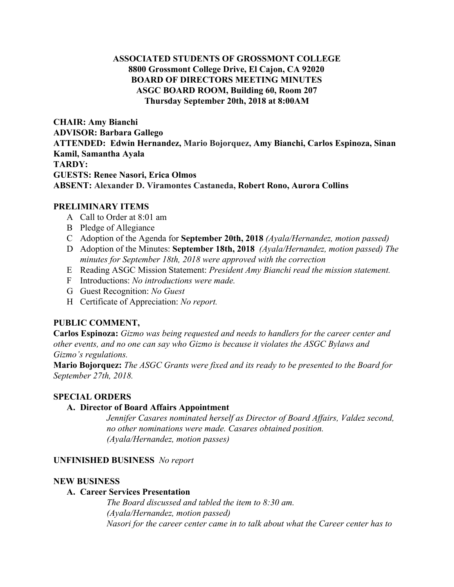# **ASSOCIATED STUDENTS OF GROSSMONT COLLEGE 8800 Grossmont College Drive, El Cajon, CA 92020 BOARD OF DIRECTORS MEETING MINUTES ASGC BOARD ROOM, Building 60, Room 207 Thursday September 20th, 2018 at 8:00AM**

**CHAIR: Amy Bianchi ADVISOR: Barbara Gallego ATTENDED: Edwin Hernandez, Mario Bojorquez, Amy Bianchi, Carlos Espinoza, Sinan Kamil, Samantha Ayala TARDY: GUESTS: Renee Nasori, Erica Olmos ABSENT: Alexander D. Viramontes Castaneda, Robert Rono, Aurora Collins**

## **PRELIMINARY ITEMS**

- A Call to Order at 8:01 am
- B Pledge of Allegiance
- C Adoption of the Agenda for **September 20th, 2018** *(Ayala/Hernandez, motion passed)*
- D Adoption of the Minutes: **September 18th, 2018** *(Ayala/Hernandez, motion passed) The minutes for September 18th, 2018 were approved with the correction*
- E Reading ASGC Mission Statement: *President Amy Bianchi read the mission statement.*
- F Introductions: *No introductions were made.*
- G Guest Recognition: *No Guest*
- H Certificate of Appreciation: *No report.*

# **PUBLIC COMMENT,**

**Carlos Espinoza:** *Gizmo was being requested and needs to handlers for the career center and other events, and no one can say who Gizmo is because it violates the ASGC Bylaws and Gizmo's regulations.*

**Mario Bojorquez:** *The ASGC Grants were fixed and its ready to be presented to the Board for September 27th, 2018.*

## **SPECIAL ORDERS**

# **A. Director of Board Affairs Appointment**

*Jennifer Casares nominated herself as Director of Board Affairs, Valdez second, no other nominations were made. Casares obtained position. (Ayala/Hernandez, motion passes)*

## **UNFINISHED BUSINESS**  *No report*

## **NEW BUSINESS**

# **A. Career Services Presentation**

*The Board discussed and tabled the item to 8:30 am. (Ayala/Hernandez, motion passed) Nasori for the career center came in to talk about what the Career center has to*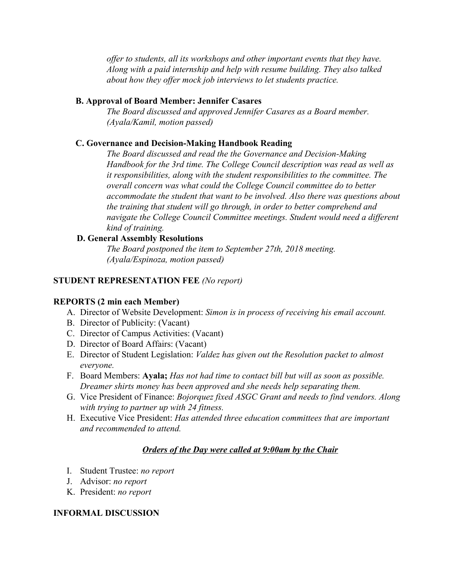*offer to students, all its workshops and other important events that they have. Along with a paid internship and help with resume building. They also talked about how they offer mock job interviews to let students practice.*

# **B. Approval of Board Member: Jennifer Casares**

*The Board discussed and approved Jennifer Casares as a Board member. (Ayala/Kamil, motion passed)*

## **C. Governance and Decision-Making Handbook Reading**

*The Board discussed and read the the Governance and Decision-Making Handbook for the 3rd time. The College Council description was read as well as it responsibilities, along with the student responsibilities to the committee. The overall concern was what could the College Council committee do to better accommodate the student that want to be involved. Also there was questions about the training that student will go through, in order to better comprehend and navigate the College Council Committee meetings. Student would need a different kind of training.*

## **D. General Assembly Resolutions**

*The Board postponed the item to September 27th, 2018 meeting. (Ayala/Espinoza, motion passed)*

# **STUDENT REPRESENTATION FEE** *(No report)*

## **REPORTS (2 min each Member)**

- A. Director of Website Development: *Simon is in process of receiving his email account.*
- B. Director of Publicity: (Vacant)
- C. Director of Campus Activities: (Vacant)
- D. Director of Board Affairs: (Vacant)
- E. Director of Student Legislation: *Valdez has given out the Resolution packet to almost everyone.*
- F. Board Members: **Ayala;** *Has not had time to contact bill but will as soon as possible. Dreamer shirts money has been approved and she needs help separating them.*
- G. Vice President of Finance: *Bojorquez fixed ASGC Grant and needs to find vendors. Along with trying to partner up with 24 fitness.*
- H. Executive Vice President: *Has attended three education committees that are important and recommended to attend.*

# *Orders of the Day were called at 9:00am by the Chair*

- I. Student Trustee: *no report*
- J. Advisor: *no report*
- K. President: *no report*

# **INFORMAL DISCUSSION**